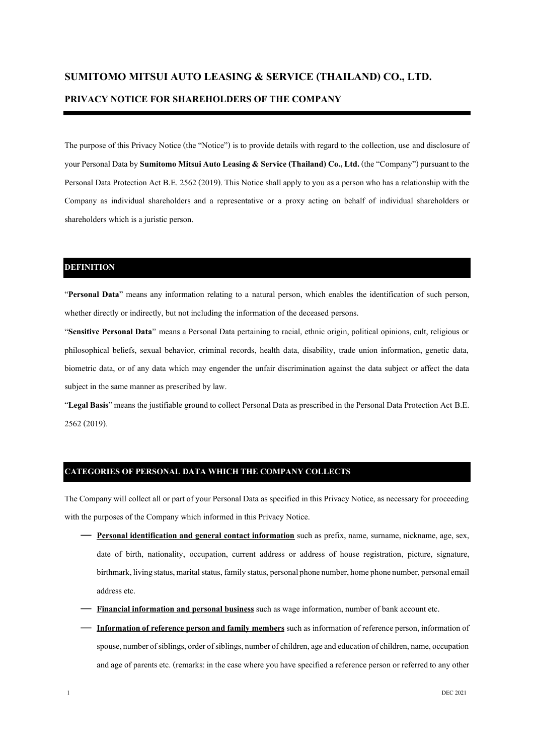# **SUMITOMO MITSUI AUTO LEASING & SERVICE (THAILAND) CO., LTD.**

# **PRIVACY NOTICE FOR SHAREHOLDERS OF THE COMPANY**

The purpose of this Privacy Notice (the "Notice") is to provide details with regard to the collection, use and disclosure of your Personal Data by **Sumitomo Mitsui Auto Leasing & Service (Thailand) Co., Ltd.** (the "Company") pursuant to the Personal Data Protection Act B.E. 2562 (2019). This Notice shall apply to you as a person who has a relationship with the Company as individual shareholders and a representative or a proxy acting on behalf of individual shareholders or shareholders which is a juristic person.

### **DEFINITION**

"**Personal Data**" means any information relating to a natural person, which enables the identification of such person, whether directly or indirectly, but not including the information of the deceased persons.

"**Sensitive Personal Data**" means a Personal Data pertaining to racial, ethnic origin, political opinions, cult, religious or philosophical beliefs, sexual behavior, criminal records, health data, disability, trade union information, genetic data, biometric data, or of any data which may engender the unfair discrimination against the data subject or affect the data subject in the same manner as prescribed by law.

"**Legal Basis**" means the justifiable ground to collect Personal Data as prescribed in the Personal Data Protection Act B.E. 2562 (2019).

## **CATEGORIES OF PERSONAL DATA WHICH THE COMPANY COLLECTS**

The Company will collect all or part of your Personal Data as specified in this Privacy Notice, as necessary for proceeding with the purposes of the Company which informed in this Privacy Notice.

- **Personal identification and general contact information** such as prefix, name, surname, nickname, age, sex, date of birth, nationality, occupation, current address or address of house registration, picture, signature, birthmark, living status, marital status, family status, personal phone number, home phone number, personal email address etc.
- **Financial information and personal business** such as wage information, number of bank account etc.
- **Information of reference person and family members** such as information of reference person, information of spouse, number of siblings, order of siblings, number of children, age and education of children, name, occupation and age of parents etc. (remarks: in the case where you have specified a reference person or referred to any other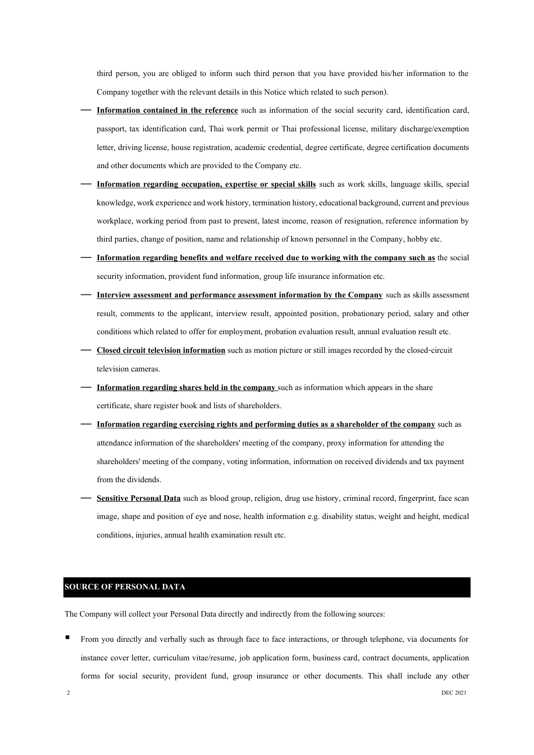third person, you are obliged to inform such third person that you have provided his/her information to the Company together with the relevant details in this Notice which related to such person).

- **Information contained in the reference** such as information of the social security card, identification card, passport, tax identification card, Thai work permit or Thai professional license, military discharge/exemption letter, driving license, house registration, academic credential, degree certificate, degree certification documents and other documents which are provided to the Company etc.
- **Information regarding occupation, expertise or special skills** such as work skills, language skills, special knowledge, work experience and work history, termination history, educational background, current and previous workplace, working period from past to present, latest income, reason of resignation, reference information by third parties, change of position, name and relationship of known personnel in the Company, hobby etc.
- **Information regarding benefits and welfare received due to working with the company such as** the social security information, provident fund information, group life insurance information etc.
- **Interview assessment and performance assessment information by the Company** such as skills assessment result, comments to the applicant, interview result, appointed position, probationary period, salary and other conditions which related to offer for employment, probation evaluation result, annual evaluation result etc.
- **Closed circuit television information**such as motion picture or still images recorded by the closed-circuit television cameras.
- **Information regarding shares held in the company** such as information which appears in the share certificate, share register book and lists of shareholders.
- **Information regarding exercising rights and performing duties as a shareholder of the company** such as attendance information of the shareholders' meeting of the company, proxy information for attending the shareholders' meeting of the company, voting information, information on received dividends and tax payment from the dividends.
- **Sensitive Personal Data** such as blood group, religion, drug use history, criminal record, fingerprint, face scan image, shape and position of eye and nose, health information e.g. disability status, weight and height, medical conditions, injuries, annual health examination result etc.

### **SOURCE OF PERSONAL DATA**

The Company will collect your Personal Data directly and indirectly from the following sources:

▪ From you directly and verbally such as through face to face interactions, or through telephone, via documents for instance cover letter, curriculum vitae/resume, job application form, business card, contract documents, application forms for social security, provident fund, group insurance or other documents. This shall include any other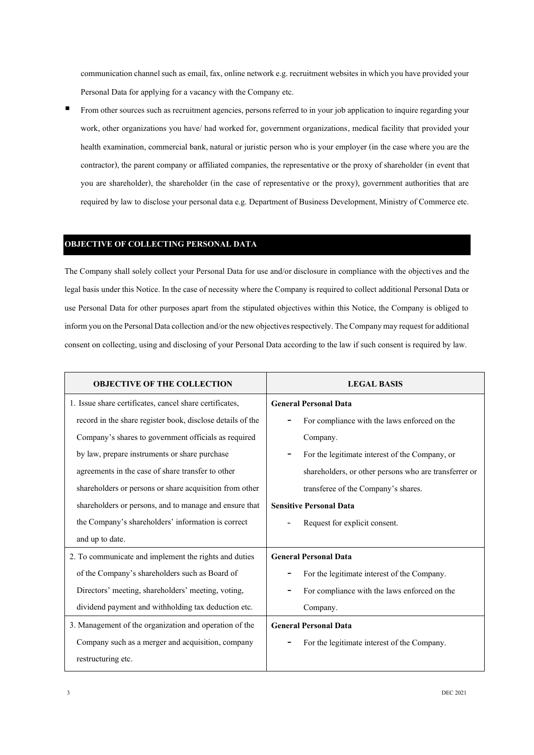communication channel such as email, fax, online network e.g. recruitment websites in which you have provided your Personal Data for applying for a vacancy with the Company etc.

From other sources such as recruitment agencies, persons referred to in your job application to inquire regarding your work, other organizations you have/ had worked for, government organizations, medical facility that provided your health examination, commercial bank, natural or juristic person who is your employer (in the case where you are the contractor), the parent company or affiliated companies, the representative or the proxy of shareholder (in event that you are shareholder), the shareholder (in the case of representative or the proxy), government authorities that are required by law to disclose your personal data e.g. Department of Business Development, Ministry of Commerce etc.

#### **OBJECTIVE OF COLLECTING PERSONAL DATA**

The Company shall solely collect your Personal Data for use and/or disclosure in compliance with the objectives and the legal basis under this Notice. In the case of necessity where the Company is required to collect additional Personal Data or use Personal Data for other purposes apart from the stipulated objectives within this Notice, the Company is obliged to inform you on the Personal Data collection and/or the new objectives respectively. The Company may request for additional consent on collecting, using and disclosing of your Personal Data according to the law if such consent is required by law.

| <b>OBJECTIVE OF THE COLLECTION</b>                         | <b>LEGAL BASIS</b>                                    |
|------------------------------------------------------------|-------------------------------------------------------|
| 1. Issue share certificates, cancel share certificates,    | <b>General Personal Data</b>                          |
| record in the share register book, disclose details of the | For compliance with the laws enforced on the          |
| Company's shares to government officials as required       | Company.                                              |
| by law, prepare instruments or share purchase              | For the legitimate interest of the Company, or        |
| agreements in the case of share transfer to other          | shareholders, or other persons who are transferrer or |
| shareholders or persons or share acquisition from other    | transferee of the Company's shares.                   |
| shareholders or persons, and to manage and ensure that     | <b>Sensitive Personal Data</b>                        |
| the Company's shareholders' information is correct         | Request for explicit consent.                         |
| and up to date.                                            |                                                       |
| 2. To communicate and implement the rights and duties      | <b>General Personal Data</b>                          |
| of the Company's shareholders such as Board of             | For the legitimate interest of the Company.           |
| Directors' meeting, shareholders' meeting, voting,         | For compliance with the laws enforced on the          |
| dividend payment and withholding tax deduction etc.        | Company.                                              |
| 3. Management of the organization and operation of the     | <b>General Personal Data</b>                          |
| Company such as a merger and acquisition, company          | For the legitimate interest of the Company.           |
| restructuring etc.                                         |                                                       |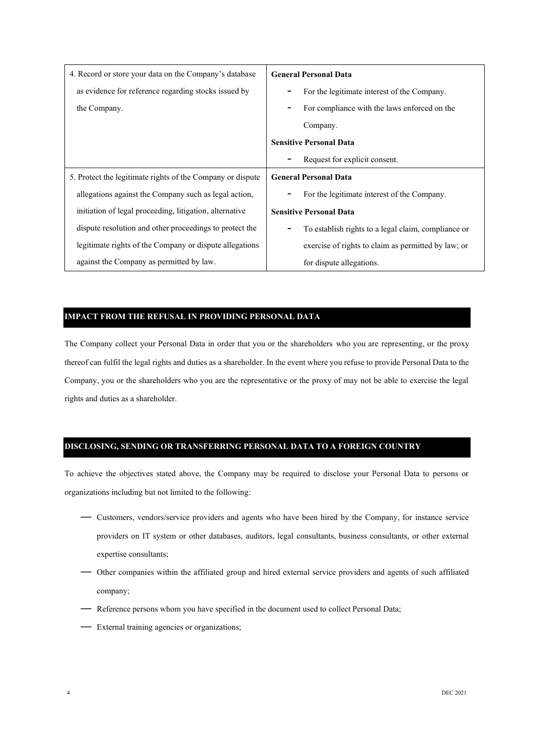| 4. Record or store your data on the Company's database     | <b>General Personal Data</b>                        |
|------------------------------------------------------------|-----------------------------------------------------|
| as evidence for reference regarding stocks issued by       | For the legitimate interest of the Company.         |
| the Company.                                               | For compliance with the laws enforced on the        |
|                                                            | Company.                                            |
|                                                            | <b>Sensitive Personal Data</b>                      |
|                                                            | Request for explicit consent.                       |
| 5. Protect the legitimate rights of the Company or dispute | <b>General Personal Data</b>                        |
| allegations against the Company such as legal action,      | For the legitimate interest of the Company.         |
| initiation of legal proceeding, litigation, alternative    | <b>Sensitive Personal Data</b>                      |
| dispute resolution and other proceedings to protect the    | To establish rights to a legal claim, compliance or |
|                                                            |                                                     |
| legitimate rights of the Company or dispute allegations    | exercise of rights to claim as permitted by law; or |

# **IMPACT FROM THE REFUSAL IN PROVIDING PERSONAL DATA**

The Company collect your Personal Data in order that you or the shareholders who you are representing, or the proxy thereof can fulfil the legal rights and duties as a shareholder. In the event where you refuse to provide Personal Data to the Company, you or the shareholders who you are the representative or the proxy of may not be able to exercise the legal rights and duties as a shareholder.

# **DISCLOSING, SENDING OR TRANSFERRING PERSONAL DATA TO A FOREIGN COUNTRY**

To achieve the objectives stated above, the Company may be required to disclose your Personal Data to persons or organizations including but not limited to the following:

- Customers, vendors/service providers and agents who have been hired by the Company, for instance service providers on IT system or other databases, auditors, legal consultants, business consultants, or other external expertise consultants;
- Other companies within the affiliated group and hired external service providers and agents of such affiliated company;
- Reference persons whom you have specified in the document used to collect Personal Data;
- External training agencies or organizations;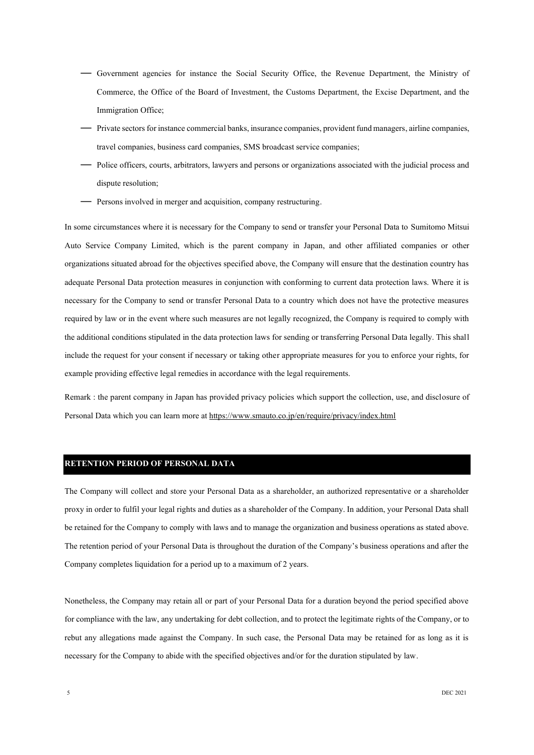- Government agencies for instance the Social Security Office, the Revenue Department, the Ministry of Commerce, the Office of the Board of Investment, the Customs Department, the Excise Department, and the Immigration Office;
- Private sectors for instance commercial banks, insurance companies, provident fund managers, airline companies, travel companies, business card companies, SMS broadcast service companies;
- Police officers, courts, arbitrators, lawyers and persons or organizations associated with the judicial process and dispute resolution;
- Persons involved in merger and acquisition, company restructuring.

In some circumstances where it is necessary for the Company to send or transfer your Personal Data to Sumitomo Mitsui Auto Service Company Limited, which is the parent company in Japan, and other affiliated companies or other organizations situated abroad for the objectives specified above, the Company will ensure that the destination country has adequate Personal Data protection measures in conjunction with conforming to current data protection laws. Where it is necessary for the Company to send or transfer Personal Data to a country which does not have the protective measures required by law or in the event where such measures are not legally recognized, the Company is required to comply with the additional conditions stipulated in the data protection laws for sending or transferring Personal Data legally. This shall include the request for your consent if necessary or taking other appropriate measures for you to enforce your rights, for example providing effective legal remedies in accordance with the legal requirements.

Remark : the parent company in Japan has provided privacy policies which support the collection, use, and disclosure of Personal Data which you can learn more a[t https://www.smauto.co.jp/en/require/privacy/index.html](https://www.smauto.co.jp/en/require/privacy/index.html)

#### **RETENTION PERIOD OF PERSONAL DATA**

The Company will collect and store your Personal Data as a shareholder, an authorized representative or a shareholder proxy in order to fulfil your legal rights and duties as a shareholder of the Company. In addition, your Personal Data shall be retained for the Company to comply with laws and to manage the organization and business operations as stated above. The retention period of your Personal Data is throughout the duration of the Company's business operations and after the Company completes liquidation for a period up to a maximum of 2 years.

Nonetheless, the Company may retain all or part of your Personal Data for a duration beyond the period specified above for compliance with the law, any undertaking for debt collection, and to protect the legitimate rights of the Company, or to rebut any allegations made against the Company. In such case, the Personal Data may be retained for as long as it is necessary for the Company to abide with the specified objectives and/or for the duration stipulated by law.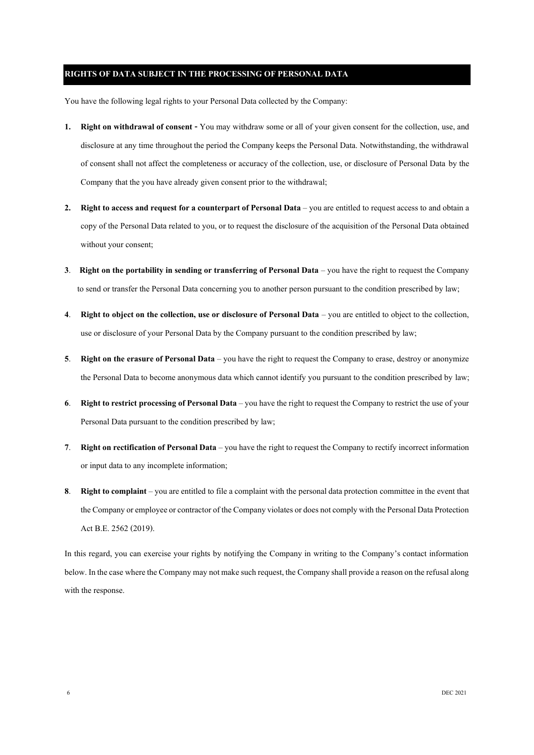### **RIGHTS OF DATA SUBJECT IN THE PROCESSING OF PERSONAL DATA**

You have the following legal rights to your Personal Data collected by the Company:

- **1. Right on withdrawal of consent -** You may withdraw some or all of your given consent for the collection, use, and disclosure at any time throughout the period the Company keeps the Personal Data. Notwithstanding, the withdrawal of consent shall not affect the completeness or accuracy of the collection, use, or disclosure of Personal Data by the Company that the you have already given consent prior to the withdrawal;
- **2. Right to access and request for a counterpart of Personal Data** you are entitled to request access to and obtain a copy of the Personal Data related to you, or to request the disclosure of the acquisition of the Personal Data obtained without your consent;
- **3**. **Right on the portability in sending or transferring of Personal Data** you have the right to request the Company to send or transfer the Personal Data concerning you to another person pursuant to the condition prescribed by law;
- **4**. **Right to object on the collection, use or disclosure of Personal Data** you are entitled to object to the collection, use or disclosure of your Personal Data by the Company pursuant to the condition prescribed by law;
- **5**. **Right on the erasure of Personal Data** you have the right to request the Company to erase, destroy or anonymize the Personal Data to become anonymous data which cannot identify you pursuant to the condition prescribed by law;
- **6**. **Right to restrict processing of Personal Data**–you have the right to request the Company to restrict the use of your Personal Data pursuant to the condition prescribed by law;
- **7**. **Right on rectification of Personal Data**–you have the right to request the Company to rectify incorrect information or input data to any incomplete information;
- **8**. **Right to complaint**–you are entitled to file a complaint with the personal data protection committee in the event that the Company or employee or contractor of the Company violates or does not comply with the Personal Data Protection Act B.E. 2562 (2019).

In this regard, you can exercise your rights by notifying the Company in writing to the Company's contact information below. In the case where the Company may not make such request, the Company shall provide a reason on the refusal along with the response.